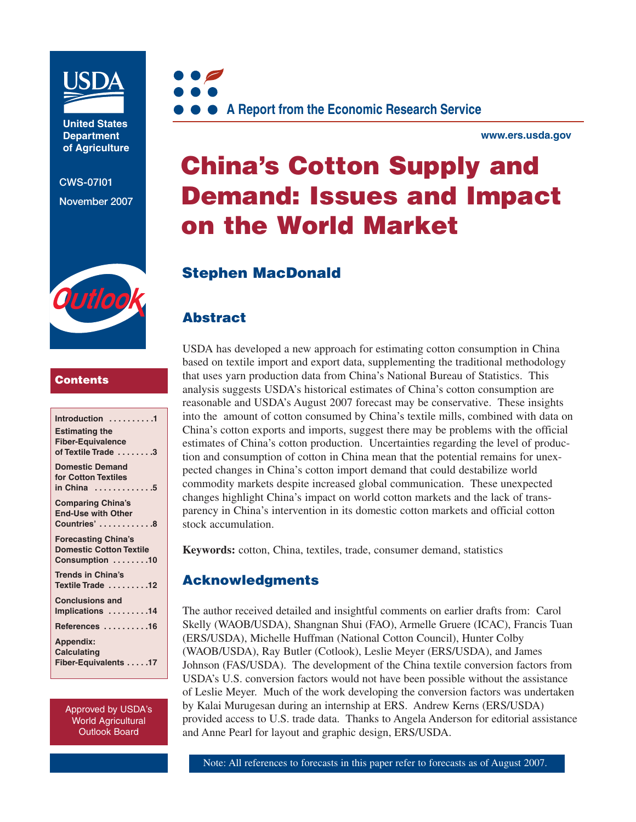

**United States Department of Agriculture** 

**CWS-07I01 November 2007**

Outloo



**www.ers.usda.gov** 

# **China's Cotton Supply and Demand: Issues and Impact on the World Market**

# **Stephen MacDonald**

### **Abstract**

### **Contents**

| Introduction 1<br><b>Estimating the</b><br><b>Fiber-Equivalence</b><br>of Textile Trade 3 |
|-------------------------------------------------------------------------------------------|
| <b>Domestic Demand</b><br>for Cotton Textiles<br>in China 5                               |
| <b>Comparing China's</b><br><b>End-Use with Other</b><br>Countries' 8                     |
| <b>Forecasting China's</b><br><b>Domestic Cotton Textile</b><br>Consumption 10            |
| <b>Trends in China's</b><br>Textile Trade 12                                              |
| <b>Conclusions and</b><br>Implications 14                                                 |
| References 16                                                                             |
| <b>Appendix:</b><br><b>Calculating</b><br>Fiber-Equivalents 17                            |

Approved by USDA's World Agricultural Outlook Board

USDA has developed a new approach for estimating cotton consumption in China based on textile import and export data, supplementing the traditional methodology that uses yarn production data from China's National Bureau of Statistics. This analysis suggests USDA's historical estimates of China's cotton consumption are reasonable and USDA's August 2007 forecast may be conservative. These insights into the amount of cotton consumed by China's textile mills, combined with data on China's cotton exports and imports, suggest there may be problems with the official estimates of China's cotton production. Uncertainties regarding the level of production and consumption of cotton in China mean that the potential remains for unexpected changes in China's cotton import demand that could destabilize world commodity markets despite increased global communication. These unexpected changes highlight China's impact on world cotton markets and the lack of transparency in China's intervention in its domestic cotton markets and official cotton stock accumulation.

**Keywords:** cotton, China, textiles, trade, consumer demand, statistics

### **Acknowledgments**

The author received detailed and insightful comments on earlier drafts from: Carol Skelly (WAOB/USDA), Shangnan Shui (FAO), Armelle Gruere (ICAC), Francis Tuan (ERS/USDA), Michelle Huffman (National Cotton Council), Hunter Colby (WAOB/USDA), Ray Butler (Cotlook), Leslie Meyer (ERS/USDA), and James Johnson (FAS/USDA). The development of the China textile conversion factors from USDA's U.S. conversion factors would not have been possible without the assistance of Leslie Meyer. Much of the work developing the conversion factors was undertaken by Kalai Murugesan during an internship at ERS. Andrew Kerns (ERS/USDA) provided access to U.S. trade data. Thanks to Angela Anderson for editorial assistance and Anne Pearl for layout and graphic design, ERS/USDA.

Note: All references to forecasts in this paper refer to forecasts as of August 2007.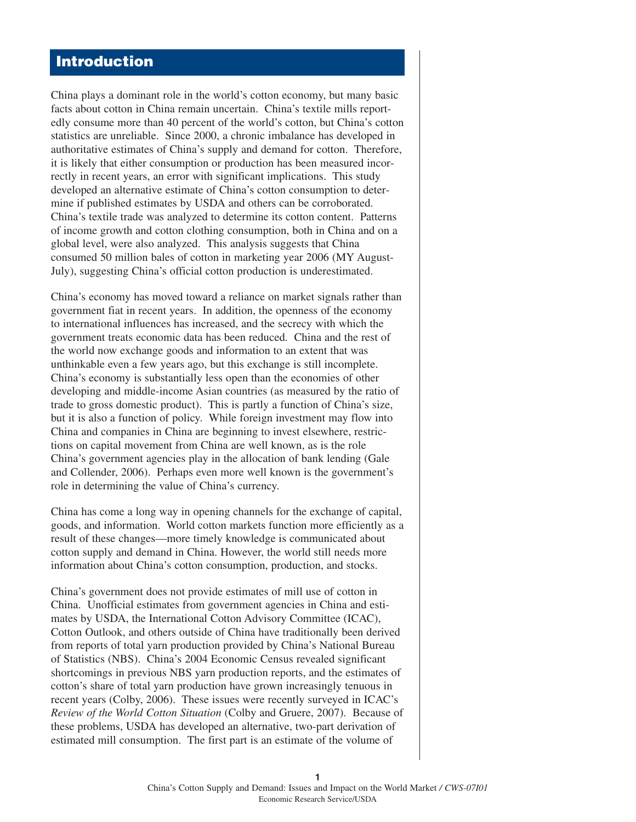## **Introduction**

China plays a dominant role in the world's cotton economy, but many basic facts about cotton in China remain uncertain. China's textile mills reportedly consume more than 40 percent of the world's cotton, but China's cotton statistics are unreliable. Since 2000, a chronic imbalance has developed in authoritative estimates of China's supply and demand for cotton. Therefore, it is likely that either consumption or production has been measured incorrectly in recent years, an error with significant implications. This study developed an alternative estimate of China's cotton consumption to determine if published estimates by USDA and others can be corroborated. China's textile trade was analyzed to determine its cotton content. Patterns of income growth and cotton clothing consumption, both in China and on a global level, were also analyzed. This analysis suggests that China consumed 50 million bales of cotton in marketing year 2006 (MY August-July), suggesting China's official cotton production is underestimated.

China's economy has moved toward a reliance on market signals rather than government fiat in recent years. In addition, the openness of the economy to international influences has increased, and the secrecy with which the government treats economic data has been reduced. China and the rest of the world now exchange goods and information to an extent that was unthinkable even a few years ago, but this exchange is still incomplete. China's economy is substantially less open than the economies of other developing and middle-income Asian countries (as measured by the ratio of trade to gross domestic product). This is partly a function of China's size, but it is also a function of policy. While foreign investment may flow into China and companies in China are beginning to invest elsewhere, restrictions on capital movement from China are well known, as is the role China's government agencies play in the allocation of bank lending (Gale and Collender, 2006). Perhaps even more well known is the government's role in determining the value of China's currency.

China has come a long way in opening channels for the exchange of capital, goods, and information. World cotton markets function more efficiently as a result of these changes—more timely knowledge is communicated about cotton supply and demand in China. However, the world still needs more information about China's cotton consumption, production, and stocks.

China's government does not provide estimates of mill use of cotton in China. Unofficial estimates from government agencies in China and estimates by USDA, the International Cotton Advisory Committee (ICAC), Cotton Outlook, and others outside of China have traditionally been derived from reports of total yarn production provided by China's National Bureau of Statistics (NBS). China's 2004 Economic Census revealed significant shortcomings in previous NBS yarn production reports, and the estimates of cotton's share of total yarn production have grown increasingly tenuous in recent years (Colby, 2006). These issues were recently surveyed in ICAC's *Review of the World Cotton Situation* (Colby and Gruere, 2007). Because of these problems, USDA has developed an alternative, two-part derivation of estimated mill consumption. The first part is an estimate of the volume of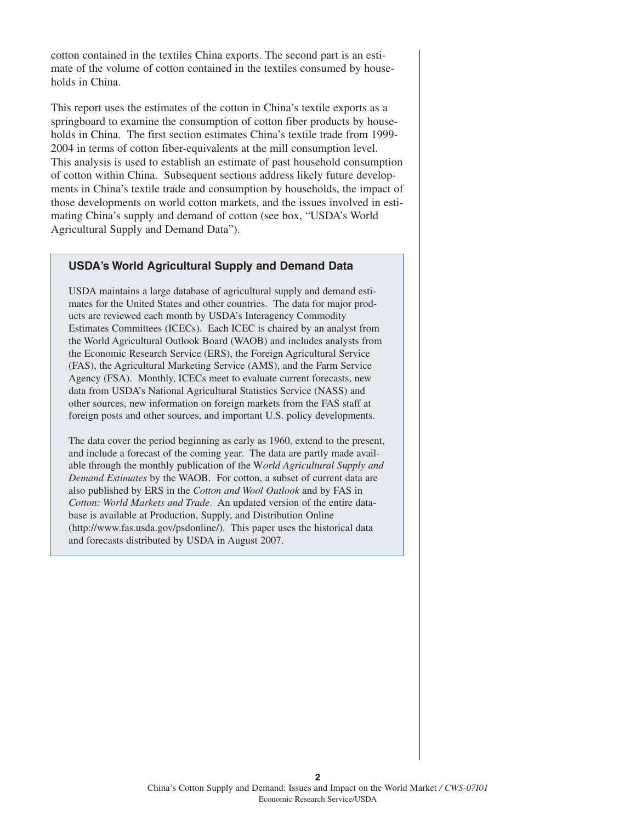cotton contained in the textiles China exports. The second part is an estimate of the volume of cotton contained in the textiles consumed by households in China.

This report uses the estimates of the cotton in China's textile exports as a springboard to examine the consumption of cotton fiber products by households in China. The first section estimates China's textile trade from 1999- 2004 in terms of cotton fiber-equivalents at the mill consumption level. This analysis is used to establish an estimate of past household consumption of cotton within China. Subsequent sections address likely future developments in China's textile trade and consumption by households, the impact of those developments on world cotton markets, and the issues involved in estimating China's supply and demand of cotton (see box, "USDA's World Agricultural Supply and Demand Data").

### **USDA's World Agricultural Supply and Demand Data**

USDA maintains a large database of agricultural supply and demand estimates for the United States and other countries. The data for major products are reviewed each month by USDA's Interagency Commodity Estimates Committees (ICECs). Each ICEC is chaired by an analyst from the World Agricultural Outlook Board (WAOB) and includes analysts from the Economic Research Service (ERS), the Foreign Agricultural Service (FAS), the Agricultural Marketing Service (AMS), and the Farm Service Agency (FSA). Monthly, ICECs meet to evaluate current forecasts, new data from USDA's National Agricultural Statistics Service (NASS) and other sources, new information on foreign markets from the FAS staff at foreign posts and other sources, and important U.S. policy developments.

The data cover the period beginning as early as 1960, extend to the present, and include a forecast of the coming year. The data are partly made available through the monthly publication of the W*orld Agricultural Supply and Demand Estimates* by the WAOB. For cotton, a subset of current data are also published by ERS in the *Cotton and Wool Outlook* and by FAS in *Cotton: World Markets and Trade*. An updated version of the entire database is available at Production, Supply, and Distribution Online (http://www.fas.usda.gov/psdonline/). This paper uses the historical data and forecasts distributed by USDA in August 2007.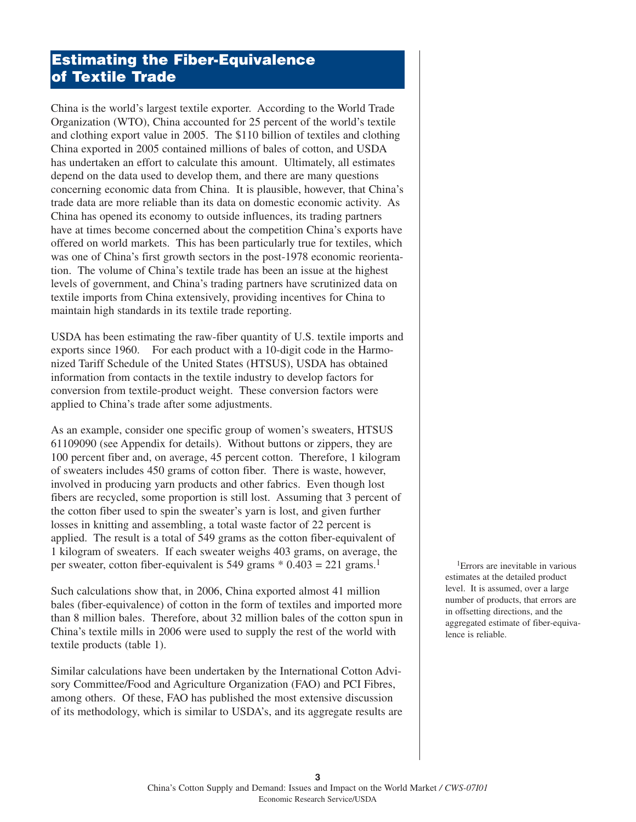# **Estimating the Fiber-Equivalence of Textile Trade**

China is the world's largest textile exporter. According to the World Trade Organization (WTO), China accounted for 25 percent of the world's textile and clothing export value in 2005. The \$110 billion of textiles and clothing China exported in 2005 contained millions of bales of cotton, and USDA has undertaken an effort to calculate this amount. Ultimately, all estimates depend on the data used to develop them, and there are many questions concerning economic data from China. It is plausible, however, that China's trade data are more reliable than its data on domestic economic activity. As China has opened its economy to outside influences, its trading partners have at times become concerned about the competition China's exports have offered on world markets. This has been particularly true for textiles, which was one of China's first growth sectors in the post-1978 economic reorientation. The volume of China's textile trade has been an issue at the highest levels of government, and China's trading partners have scrutinized data on textile imports from China extensively, providing incentives for China to maintain high standards in its textile trade reporting.

USDA has been estimating the raw-fiber quantity of U.S. textile imports and exports since 1960. For each product with a 10-digit code in the Harmonized Tariff Schedule of the United States (HTSUS), USDA has obtained information from contacts in the textile industry to develop factors for conversion from textile-product weight. These conversion factors were applied to China's trade after some adjustments.

As an example, consider one specific group of women's sweaters, HTSUS 61109090 (see Appendix for details). Without buttons or zippers, they are 100 percent fiber and, on average, 45 percent cotton. Therefore, 1 kilogram of sweaters includes 450 grams of cotton fiber. There is waste, however, involved in producing yarn products and other fabrics. Even though lost fibers are recycled, some proportion is still lost. Assuming that 3 percent of the cotton fiber used to spin the sweater's yarn is lost, and given further losses in knitting and assembling, a total waste factor of 22 percent is applied. The result is a total of 549 grams as the cotton fiber-equivalent of 1 kilogram of sweaters. If each sweater weighs 403 grams, on average, the per sweater, cotton fiber-equivalent is 549 grams  $*$  0.403 = 221 grams.<sup>1</sup>

Such calculations show that, in 2006, China exported almost 41 million bales (fiber-equivalence) of cotton in the form of textiles and imported more than 8 million bales. Therefore, about 32 million bales of the cotton spun in China's textile mills in 2006 were used to supply the rest of the world with textile products (table 1).

Similar calculations have been undertaken by the International Cotton Advisory Committee/Food and Agriculture Organization (FAO) and PCI Fibres, among others. Of these, FAO has published the most extensive discussion of its methodology, which is similar to USDA's, and its aggregate results are

1Errors are inevitable in various estimates at the detailed product level. It is assumed, over a large number of products, that errors are in offsetting directions, and the aggregated estimate of fiber-equivalence is reliable.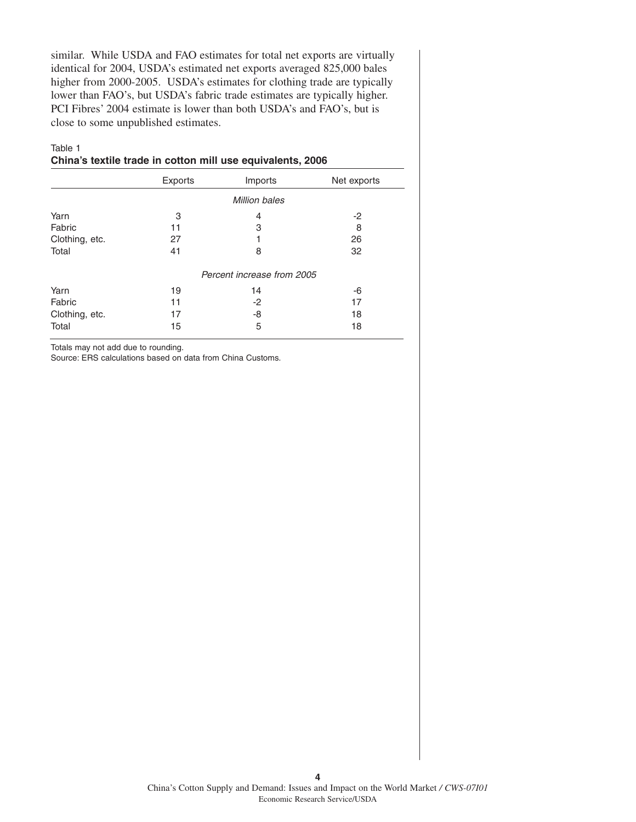similar. While USDA and FAO estimates for total net exports are virtually identical for 2004, USDA's estimated net exports averaged 825,000 bales higher from 2000-2005. USDA's estimates for clothing trade are typically lower than FAO's, but USDA's fabric trade estimates are typically higher. PCI Fibres' 2004 estimate is lower than both USDA's and FAO's, but is close to some unpublished estimates.

### Table 1

**China's textile trade in cotton mill use equivalents, 2006**

|                | Exports | Imports                    | Net exports |  |  |
|----------------|---------|----------------------------|-------------|--|--|
|                |         | <b>Million bales</b>       |             |  |  |
| Yarn           | 3       | 4                          | $-2$        |  |  |
| Fabric         | 11      | 3                          | 8           |  |  |
| Clothing, etc. | 27      |                            | 26          |  |  |
| Total          | 41      | 8                          | 32          |  |  |
|                |         | Percent increase from 2005 |             |  |  |
| Yarn           | 19      | 14                         | -6          |  |  |
| Fabric         | 11      | -2                         | 17          |  |  |
| Clothing, etc. | 17      | -8                         | 18          |  |  |
| Total          | 15      | 5                          | 18          |  |  |

Totals may not add due to rounding.

Source: ERS calculations based on data from China Customs.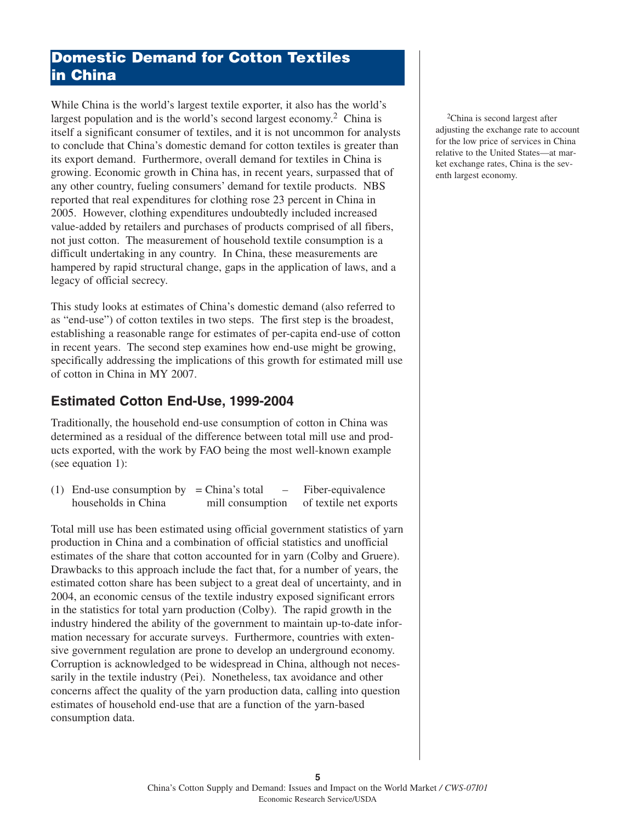### **Domestic Demand for Cotton Textiles in China**

While China is the world's largest textile exporter, it also has the world's largest population and is the world's second largest economy.<sup>2</sup> China is itself a significant consumer of textiles, and it is not uncommon for analysts to conclude that China's domestic demand for cotton textiles is greater than its export demand. Furthermore, overall demand for textiles in China is growing. Economic growth in China has, in recent years, surpassed that of any other country, fueling consumers' demand for textile products. NBS reported that real expenditures for clothing rose 23 percent in China in 2005. However, clothing expenditures undoubtedly included increased value-added by retailers and purchases of products comprised of all fibers, not just cotton. The measurement of household textile consumption is a difficult undertaking in any country. In China, these measurements are hampered by rapid structural change, gaps in the application of laws, and a legacy of official secrecy.

This study looks at estimates of China's domestic demand (also referred to as "end-use") of cotton textiles in two steps. The first step is the broadest, establishing a reasonable range for estimates of per-capita end-use of cotton in recent years. The second step examines how end-use might be growing, specifically addressing the implications of this growth for estimated mill use of cotton in China in MY 2007.

### **Estimated Cotton End-Use, 1999-2004**

Traditionally, the household end-use consumption of cotton in China was determined as a residual of the difference between total mill use and products exported, with the work by FAO being the most well-known example (see equation 1):

(1) End-use consumption by  $=$  China's total  $-$  Fiber-equivalence households in China mill consumption of textile net exports

Total mill use has been estimated using official government statistics of yarn production in China and a combination of official statistics and unofficial estimates of the share that cotton accounted for in yarn (Colby and Gruere). Drawbacks to this approach include the fact that, for a number of years, the estimated cotton share has been subject to a great deal of uncertainty, and in 2004, an economic census of the textile industry exposed significant errors in the statistics for total yarn production (Colby). The rapid growth in the industry hindered the ability of the government to maintain up-to-date information necessary for accurate surveys. Furthermore, countries with extensive government regulation are prone to develop an underground economy. Corruption is acknowledged to be widespread in China, although not necessarily in the textile industry (Pei). Nonetheless, tax avoidance and other concerns affect the quality of the yarn production data, calling into question estimates of household end-use that are a function of the yarn-based consumption data.

2China is second largest after adjusting the exchange rate to account for the low price of services in China relative to the United States—at market exchange rates, China is the seventh largest economy.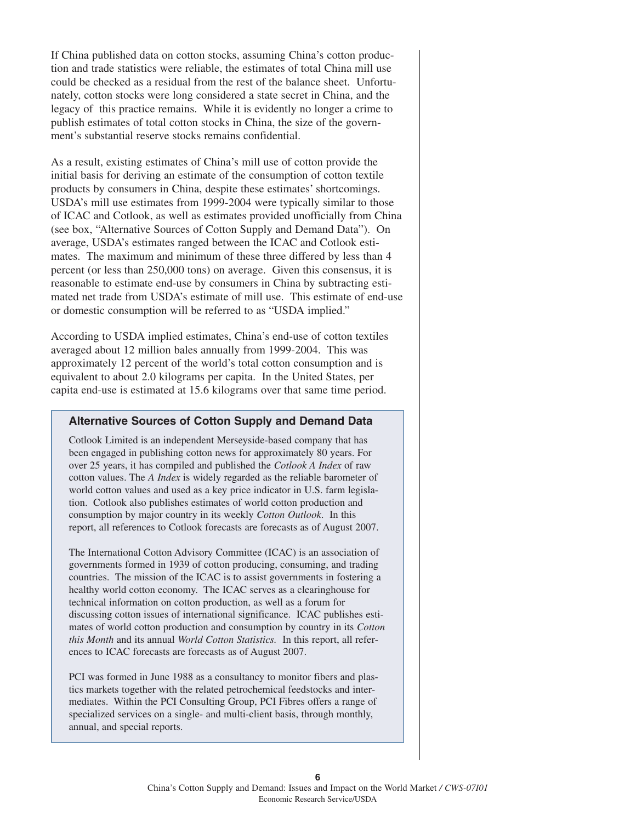If China published data on cotton stocks, assuming China's cotton production and trade statistics were reliable, the estimates of total China mill use could be checked as a residual from the rest of the balance sheet. Unfortunately, cotton stocks were long considered a state secret in China, and the legacy of this practice remains. While it is evidently no longer a crime to publish estimates of total cotton stocks in China, the size of the government's substantial reserve stocks remains confidential.

As a result, existing estimates of China's mill use of cotton provide the initial basis for deriving an estimate of the consumption of cotton textile products by consumers in China, despite these estimates' shortcomings. USDA's mill use estimates from 1999-2004 were typically similar to those of ICAC and Cotlook, as well as estimates provided unofficially from China (see box, "Alternative Sources of Cotton Supply and Demand Data"). On average, USDA's estimates ranged between the ICAC and Cotlook estimates. The maximum and minimum of these three differed by less than 4 percent (or less than 250,000 tons) on average. Given this consensus, it is reasonable to estimate end-use by consumers in China by subtracting estimated net trade from USDA's estimate of mill use. This estimate of end-use or domestic consumption will be referred to as "USDA implied."

According to USDA implied estimates, China's end-use of cotton textiles averaged about 12 million bales annually from 1999-2004. This was approximately 12 percent of the world's total cotton consumption and is equivalent to about 2.0 kilograms per capita. In the United States, per capita end-use is estimated at 15.6 kilograms over that same time period.

### **Alternative Sources of Cotton Supply and Demand Data**

Cotlook Limited is an independent Merseyside-based company that has been engaged in publishing cotton news for approximately 80 years. For over 25 years, it has compiled and published the *Cotlook A Index* of raw cotton values. The *A Index* is widely regarded as the reliable barometer of world cotton values and used as a key price indicator in U.S. farm legislation. Cotlook also publishes estimates of world cotton production and consumption by major country in its weekly *Cotton Outlook*. In this report, all references to Cotlook forecasts are forecasts as of August 2007.

The International Cotton Advisory Committee (ICAC) is an association of governments formed in 1939 of cotton producing, consuming, and trading countries. The mission of the ICAC is to assist governments in fostering a healthy world cotton economy. The ICAC serves as a clearinghouse for technical information on cotton production, as well as a forum for discussing cotton issues of international significance. ICAC publishes estimates of world cotton production and consumption by country in its *Cotton this Month* and its annual *World Cotton Statistics.* In this report, all references to ICAC forecasts are forecasts as of August 2007.

PCI was formed in June 1988 as a consultancy to monitor fibers and plastics markets together with the related petrochemical feedstocks and intermediates. Within the PCI Consulting Group, PCI Fibres offers a range of specialized services on a single- and multi-client basis, through monthly, annual, and special reports.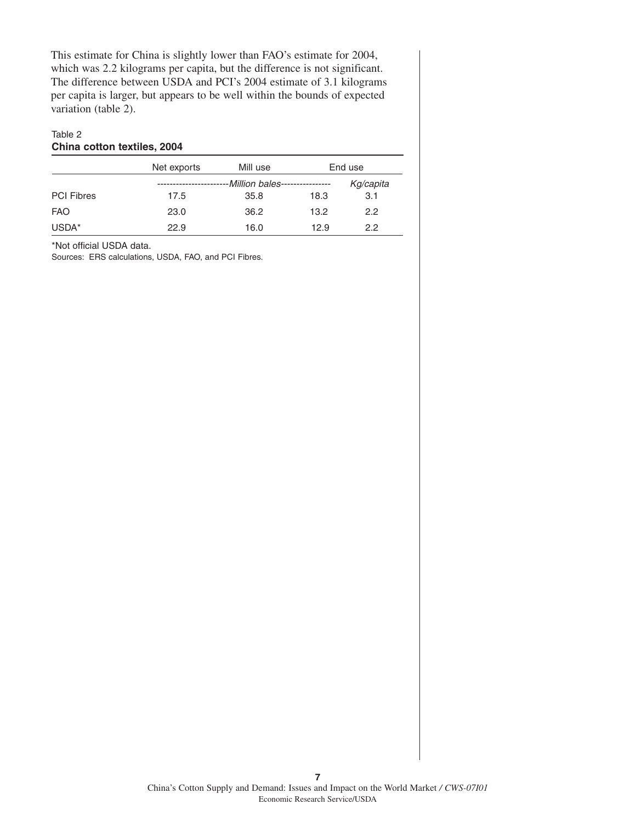This estimate for China is slightly lower than FAO's estimate for 2004, which was 2.2 kilograms per capita, but the difference is not significant. The difference between USDA and PCI's 2004 estimate of 3.1 kilograms per capita is larger, but appears to be well within the bounds of expected variation (table 2).

### Table 2 **China cotton textiles, 2004**

|                   | Net exports | Mill use           |      | End use   |  |
|-------------------|-------------|--------------------|------|-----------|--|
|                   |             | -Million bales---- |      | Kg/capita |  |
| <b>PCI Fibres</b> | 17.5        | 35.8               | 18.3 | 3.1       |  |
| <b>FAO</b>        | 23.0        | 36.2               | 13.2 | 2.2       |  |
| USDA*             | 22.9        | 16.0               | 12.9 | 2.2       |  |

\*Not official USDA data.

Sources: ERS calculations, USDA, FAO, and PCI Fibres.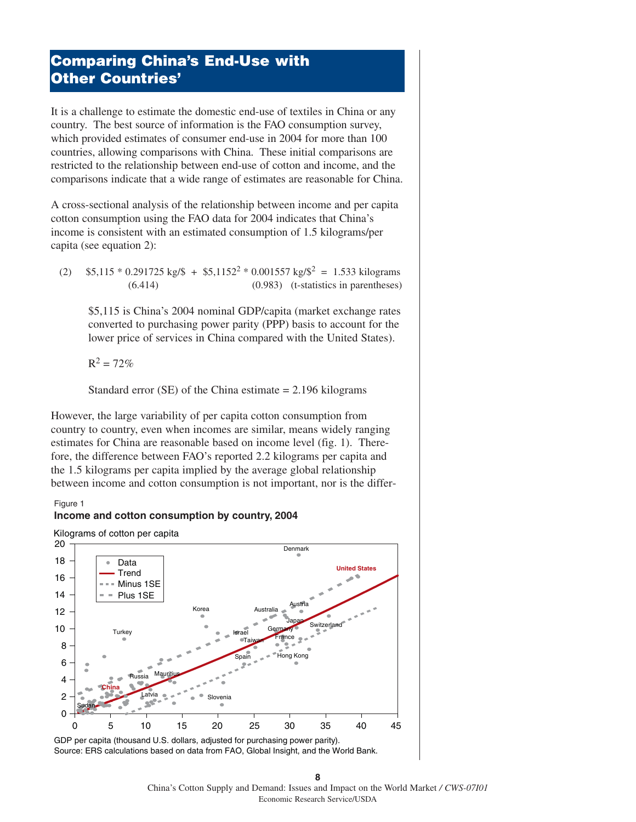# **Comparing China's End-Use with Other Countries'**

It is a challenge to estimate the domestic end-use of textiles in China or any country. The best source of information is the FAO consumption survey, which provided estimates of consumer end-use in 2004 for more than 100 countries, allowing comparisons with China. These initial comparisons are restricted to the relationship between end-use of cotton and income, and the comparisons indicate that a wide range of estimates are reasonable for China.

A cross-sectional analysis of the relationship between income and per capita cotton consumption using the FAO data for 2004 indicates that China's income is consistent with an estimated consumption of 1.5 kilograms/per capita (see equation 2):

(2)  $$5,115 * 0.291725 \text{ kg/s} + $5,1152^2 * 0.001557 \text{ kg/s}^2 = 1.533 \text{ kilograms}$ (6.414) (0.983) (t-statistics in parentheses)

\$5,115 is China's 2004 nominal GDP/capita (market exchange rates converted to purchasing power parity (PPP) basis to account for the lower price of services in China compared with the United States).

 $R^2 = 72%$ 

Standard error  $(SE)$  of the China estimate = 2.196 kilograms

However, the large variability of per capita cotton consumption from country to country, even when incomes are similar, means widely ranging estimates for China are reasonable based on income level (fig. 1). Therefore, the difference between FAO's reported 2.2 kilograms per capita and the 1.5 kilograms per capita implied by the average global relationship between income and cotton consumption is not important, nor is the differ-

#### Figure 1



Kilograms of cotton per capita



GDP per capita (thousand U.S. dollars, adjusted for purchasing power parity). Source: ERS calculations based on data from FAO, Global Insight, and the World Bank.

**8** China's Cotton Supply and Demand: Issues and Impact on the World Market */ CWS-07I01* Economic Research Service/USDA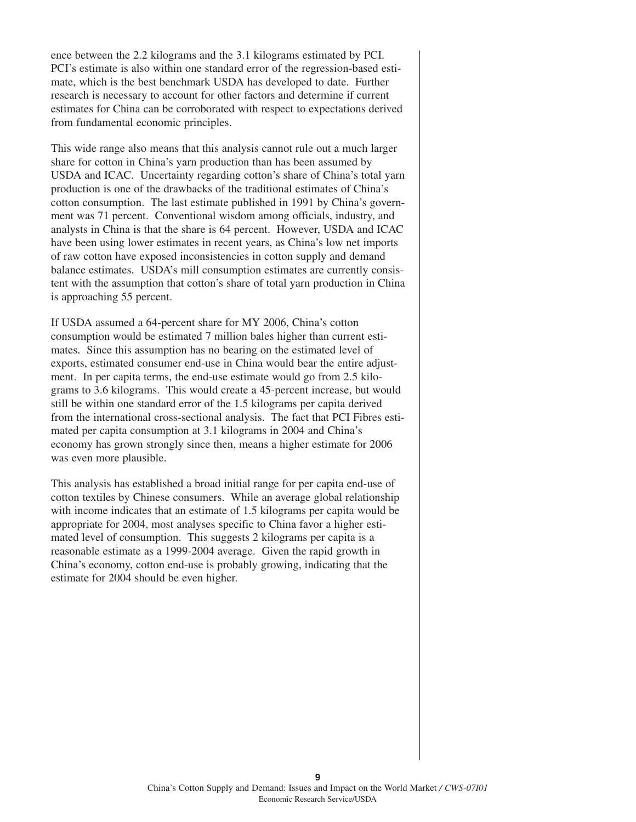ence between the 2.2 kilograms and the 3.1 kilograms estimated by PCI. PCI's estimate is also within one standard error of the regression-based estimate, which is the best benchmark USDA has developed to date. Further research is necessary to account for other factors and determine if current estimates for China can be corroborated with respect to expectations derived from fundamental economic principles.

This wide range also means that this analysis cannot rule out a much larger share for cotton in China's yarn production than has been assumed by USDA and ICAC. Uncertainty regarding cotton's share of China's total yarn production is one of the drawbacks of the traditional estimates of China's cotton consumption. The last estimate published in 1991 by China's government was 71 percent. Conventional wisdom among officials, industry, and analysts in China is that the share is 64 percent. However, USDA and ICAC have been using lower estimates in recent years, as China's low net imports of raw cotton have exposed inconsistencies in cotton supply and demand balance estimates. USDA's mill consumption estimates are currently consistent with the assumption that cotton's share of total yarn production in China is approaching 55 percent.

If USDA assumed a 64-percent share for MY 2006, China's cotton consumption would be estimated 7 million bales higher than current estimates. Since this assumption has no bearing on the estimated level of exports, estimated consumer end-use in China would bear the entire adjustment. In per capita terms, the end-use estimate would go from 2.5 kilograms to 3.6 kilograms. This would create a 45-percent increase, but would still be within one standard error of the 1.5 kilograms per capita derived from the international cross-sectional analysis. The fact that PCI Fibres estimated per capita consumption at 3.1 kilograms in 2004 and China's economy has grown strongly since then, means a higher estimate for 2006 was even more plausible.

This analysis has established a broad initial range for per capita end-use of cotton textiles by Chinese consumers. While an average global relationship with income indicates that an estimate of 1.5 kilograms per capita would be appropriate for 2004, most analyses specific to China favor a higher estimated level of consumption. This suggests 2 kilograms per capita is a reasonable estimate as a 1999-2004 average. Given the rapid growth in China's economy, cotton end-use is probably growing, indicating that the estimate for 2004 should be even higher.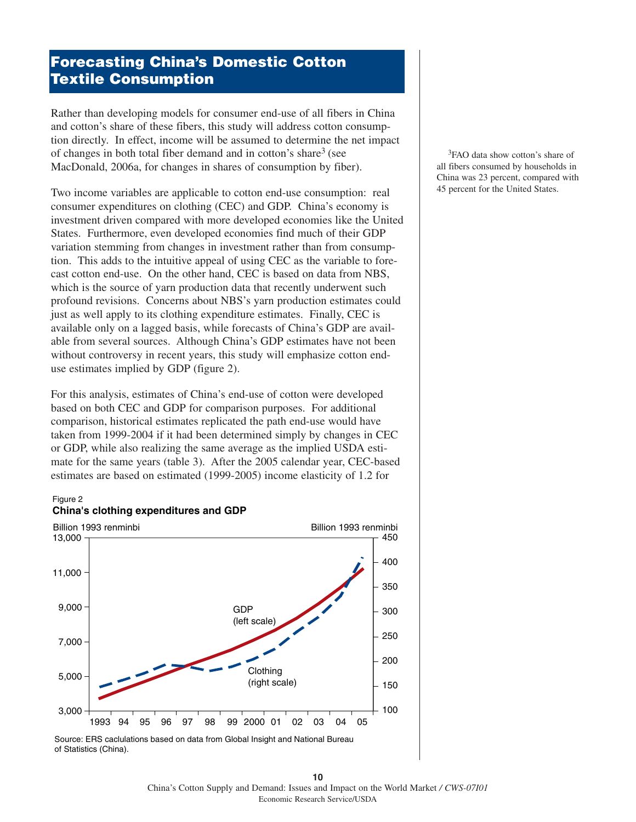# **Forecasting China's Domestic Cotton Textile Consumption**

Rather than developing models for consumer end-use of all fibers in China and cotton's share of these fibers, this study will address cotton consumption directly. In effect, income will be assumed to determine the net impact of changes in both total fiber demand and in cotton's share<sup>3</sup> (see MacDonald, 2006a, for changes in shares of consumption by fiber).

Two income variables are applicable to cotton end-use consumption: real consumer expenditures on clothing (CEC) and GDP. China's economy is investment driven compared with more developed economies like the United States. Furthermore, even developed economies find much of their GDP variation stemming from changes in investment rather than from consumption. This adds to the intuitive appeal of using CEC as the variable to forecast cotton end-use. On the other hand, CEC is based on data from NBS, which is the source of yarn production data that recently underwent such profound revisions. Concerns about NBS's yarn production estimates could just as well apply to its clothing expenditure estimates. Finally, CEC is available only on a lagged basis, while forecasts of China's GDP are available from several sources. Although China's GDP estimates have not been without controversy in recent years, this study will emphasize cotton enduse estimates implied by GDP (figure 2).

For this analysis, estimates of China's end-use of cotton were developed based on both CEC and GDP for comparison purposes. For additional comparison, historical estimates replicated the path end-use would have taken from 1999-2004 if it had been determined simply by changes in CEC or GDP, while also realizing the same average as the implied USDA estimate for the same years (table 3). After the 2005 calendar year, CEC-based estimates are based on estimated (1999-2005) income elasticity of 1.2 for

#### Figure 2



<sup>3</sup>FAO data show cotton's share of all fibers consumed by households in China was 23 percent, compared with 45 percent for the United States.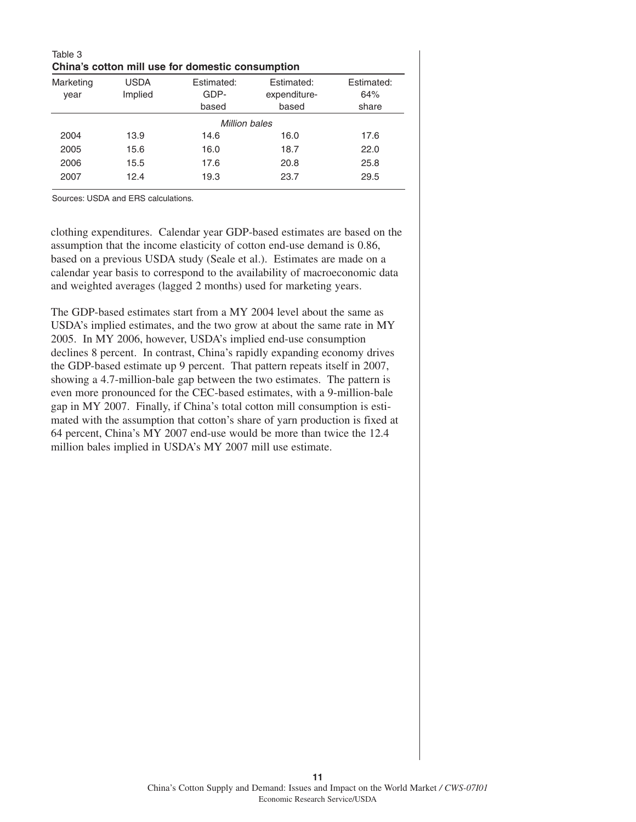| Table 3<br>China's cotton mill use for domestic consumption |                        |                             |                                     |                            |  |  |
|-------------------------------------------------------------|------------------------|-----------------------------|-------------------------------------|----------------------------|--|--|
| Marketing<br>year                                           | <b>USDA</b><br>Implied | Estimated:<br>GDP-<br>based | Estimated:<br>expenditure-<br>based | Estimated:<br>64%<br>share |  |  |
| Million bales                                               |                        |                             |                                     |                            |  |  |
| 2004                                                        | 13.9                   | 14.6                        | 16.0                                | 17.6                       |  |  |
| 2005                                                        | 15.6                   | 16.0                        | 18.7                                | 22.0                       |  |  |
| 2006                                                        | 15.5                   | 17.6                        | 20.8                                | 25.8                       |  |  |
| 2007                                                        | 12.4                   | 19.3                        | 23.7                                | 29.5                       |  |  |

Sources: USDA and ERS calculations.

clothing expenditures. Calendar year GDP-based estimates are based on the assumption that the income elasticity of cotton end-use demand is 0.86, based on a previous USDA study (Seale et al.). Estimates are made on a calendar year basis to correspond to the availability of macroeconomic data and weighted averages (lagged 2 months) used for marketing years.

The GDP-based estimates start from a MY 2004 level about the same as USDA's implied estimates, and the two grow at about the same rate in MY 2005. In MY 2006, however, USDA's implied end-use consumption declines 8 percent. In contrast, China's rapidly expanding economy drives the GDP-based estimate up 9 percent. That pattern repeats itself in 2007, showing a 4.7-million-bale gap between the two estimates. The pattern is even more pronounced for the CEC-based estimates, with a 9-million-bale gap in MY 2007. Finally, if China's total cotton mill consumption is estimated with the assumption that cotton's share of yarn production is fixed at 64 percent, China's MY 2007 end-use would be more than twice the 12.4 million bales implied in USDA's MY 2007 mill use estimate.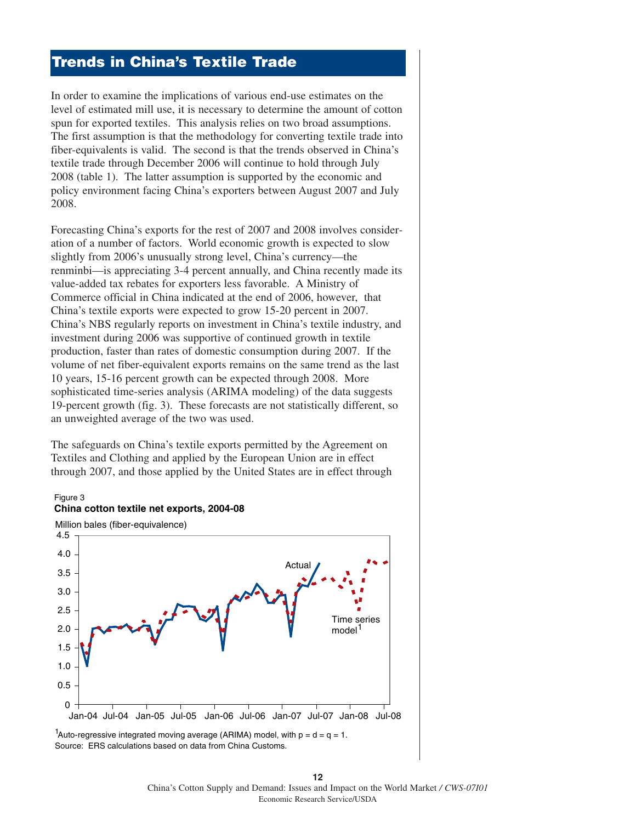## **Trends in China's Textile Trade**

In order to examine the implications of various end-use estimates on the level of estimated mill use, it is necessary to determine the amount of cotton spun for exported textiles. This analysis relies on two broad assumptions. The first assumption is that the methodology for converting textile trade into fiber-equivalents is valid. The second is that the trends observed in China's textile trade through December 2006 will continue to hold through July 2008 (table 1). The latter assumption is supported by the economic and policy environment facing China's exporters between August 2007 and July 2008.

Forecasting China's exports for the rest of 2007 and 2008 involves consideration of a number of factors. World economic growth is expected to slow slightly from 2006's unusually strong level, China's currency—the renminbi—is appreciating 3-4 percent annually, and China recently made its value-added tax rebates for exporters less favorable. A Ministry of Commerce official in China indicated at the end of 2006, however, that China's textile exports were expected to grow 15-20 percent in 2007. China's NBS regularly reports on investment in China's textile industry, and investment during 2006 was supportive of continued growth in textile production, faster than rates of domestic consumption during 2007. If the volume of net fiber-equivalent exports remains on the same trend as the last 10 years, 15-16 percent growth can be expected through 2008. More sophisticated time-series analysis (ARIMA modeling) of the data suggests 19-percent growth (fig. 3). These forecasts are not statistically different, so an unweighted average of the two was used.

The safeguards on China's textile exports permitted by the Agreement on Textiles and Clothing and applied by the European Union are in effect through 2007, and those applied by the United States are in effect through

#### Figure 3



Source: ERS calculations based on data from China Customs. <sup>1</sup>Auto-regressive integrated moving average (ARIMA) model, with  $p = d = q = 1$ .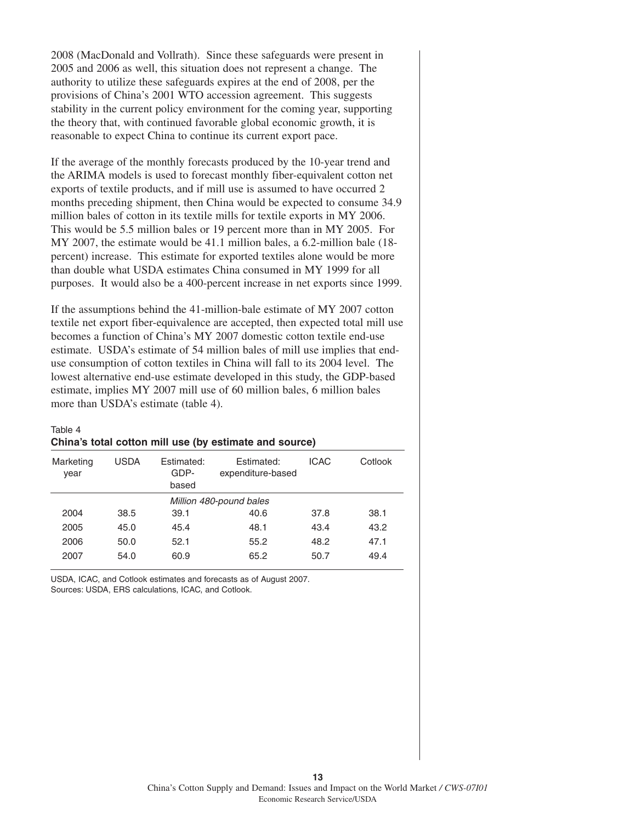2008 (MacDonald and Vollrath). Since these safeguards were present in 2005 and 2006 as well, this situation does not represent a change. The authority to utilize these safeguards expires at the end of 2008, per the provisions of China's 2001 WTO accession agreement. This suggests stability in the current policy environment for the coming year, supporting the theory that, with continued favorable global economic growth, it is reasonable to expect China to continue its current export pace.

If the average of the monthly forecasts produced by the 10-year trend and the ARIMA models is used to forecast monthly fiber-equivalent cotton net exports of textile products, and if mill use is assumed to have occurred 2 months preceding shipment, then China would be expected to consume 34.9 million bales of cotton in its textile mills for textile exports in MY 2006. This would be 5.5 million bales or 19 percent more than in MY 2005. For MY 2007, the estimate would be 41.1 million bales, a 6.2-million bale (18 percent) increase. This estimate for exported textiles alone would be more than double what USDA estimates China consumed in MY 1999 for all purposes. It would also be a 400-percent increase in net exports since 1999.

If the assumptions behind the 41-million-bale estimate of MY 2007 cotton textile net export fiber-equivalence are accepted, then expected total mill use becomes a function of China's MY 2007 domestic cotton textile end-use estimate. USDA's estimate of 54 million bales of mill use implies that enduse consumption of cotton textiles in China will fall to its 2004 level. The lowest alternative end-use estimate developed in this study, the GDP-based estimate, implies MY 2007 mill use of 60 million bales, 6 million bales more than USDA's estimate (table 4).

#### Table 4

| Marketing<br>year       | <b>USDA</b> | Estimated:<br>GDP-<br>based | Estimated:<br>expenditure-based | <b>ICAC</b> | Cotlook |  |
|-------------------------|-------------|-----------------------------|---------------------------------|-------------|---------|--|
| Million 480-pound bales |             |                             |                                 |             |         |  |
| 2004                    | 38.5        | 39.1                        | 40.6                            | 37.8        | 38.1    |  |
| 2005                    | 45.0        | 45.4                        | 48.1                            | 43.4        | 43.2    |  |
| 2006                    | 50.0        | 52.1                        | 55.2                            | 48.2        | 47.1    |  |
| 2007                    | 54.0        | 60.9                        | 65.2                            | 50.7        | 49.4    |  |

### **China's total cotton mill use (by estimate and source)**

USDA, ICAC, and Cotlook estimates and forecasts as of August 2007. Sources: USDA, ERS calculations, ICAC, and Cotlook.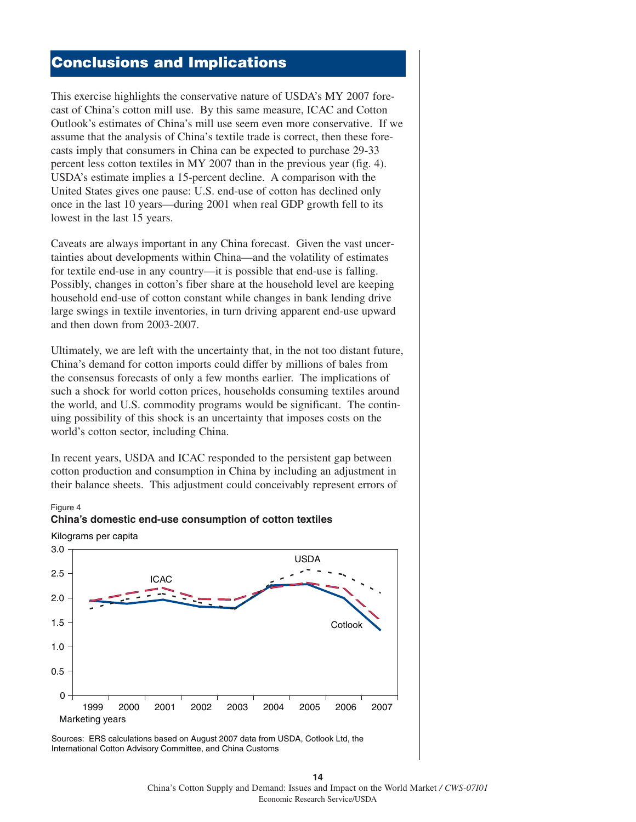### **Conclusions and Implications**

This exercise highlights the conservative nature of USDA's MY 2007 forecast of China's cotton mill use. By this same measure, ICAC and Cotton Outlook's estimates of China's mill use seem even more conservative. If we assume that the analysis of China's textile trade is correct, then these forecasts imply that consumers in China can be expected to purchase 29-33 percent less cotton textiles in MY 2007 than in the previous year (fig. 4). USDA's estimate implies a 15-percent decline. A comparison with the United States gives one pause: U.S. end-use of cotton has declined only once in the last 10 years—during 2001 when real GDP growth fell to its lowest in the last 15 years.

Caveats are always important in any China forecast. Given the vast uncertainties about developments within China—and the volatility of estimates for textile end-use in any country—it is possible that end-use is falling. Possibly, changes in cotton's fiber share at the household level are keeping household end-use of cotton constant while changes in bank lending drive large swings in textile inventories, in turn driving apparent end-use upward and then down from 2003-2007.

Ultimately, we are left with the uncertainty that, in the not too distant future, China's demand for cotton imports could differ by millions of bales from the consensus forecasts of only a few months earlier. The implications of such a shock for world cotton prices, households consuming textiles around the world, and U.S. commodity programs would be significant. The continuing possibility of this shock is an uncertainty that imposes costs on the world's cotton sector, including China.

In recent years, USDA and ICAC responded to the persistent gap between cotton production and consumption in China by including an adjustment in their balance sheets. This adjustment could conceivably represent errors of

**China's domestic end-use consumption of cotton textiles**

#### Figure 4



Sources: ERS calculations based on August 2007 data from USDA, Cotlook Ltd, the International Cotton Advisory Committee, and China Customs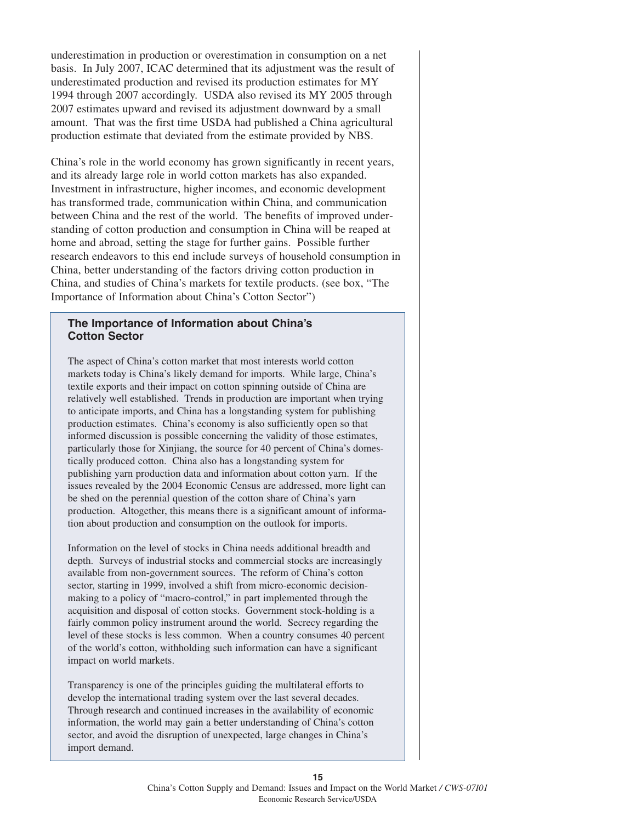underestimation in production or overestimation in consumption on a net basis. In July 2007, ICAC determined that its adjustment was the result of underestimated production and revised its production estimates for MY 1994 through 2007 accordingly. USDA also revised its MY 2005 through 2007 estimates upward and revised its adjustment downward by a small amount. That was the first time USDA had published a China agricultural production estimate that deviated from the estimate provided by NBS.

China's role in the world economy has grown significantly in recent years, and its already large role in world cotton markets has also expanded. Investment in infrastructure, higher incomes, and economic development has transformed trade, communication within China, and communication between China and the rest of the world. The benefits of improved understanding of cotton production and consumption in China will be reaped at home and abroad, setting the stage for further gains. Possible further research endeavors to this end include surveys of household consumption in China, better understanding of the factors driving cotton production in China, and studies of China's markets for textile products. (see box, "The Importance of Information about China's Cotton Sector")

### **The Importance of Information about China's Cotton Sector**

The aspect of China's cotton market that most interests world cotton markets today is China's likely demand for imports. While large, China's textile exports and their impact on cotton spinning outside of China are relatively well established. Trends in production are important when trying to anticipate imports, and China has a longstanding system for publishing production estimates. China's economy is also sufficiently open so that informed discussion is possible concerning the validity of those estimates, particularly those for Xinjiang, the source for 40 percent of China's domestically produced cotton. China also has a longstanding system for publishing yarn production data and information about cotton yarn. If the issues revealed by the 2004 Economic Census are addressed, more light can be shed on the perennial question of the cotton share of China's yarn production. Altogether, this means there is a significant amount of information about production and consumption on the outlook for imports.

Information on the level of stocks in China needs additional breadth and depth. Surveys of industrial stocks and commercial stocks are increasingly available from non-government sources. The reform of China's cotton sector, starting in 1999, involved a shift from micro-economic decisionmaking to a policy of "macro-control," in part implemented through the acquisition and disposal of cotton stocks. Government stock-holding is a fairly common policy instrument around the world. Secrecy regarding the level of these stocks is less common. When a country consumes 40 percent of the world's cotton, withholding such information can have a significant impact on world markets.

Transparency is one of the principles guiding the multilateral efforts to develop the international trading system over the last several decades. Through research and continued increases in the availability of economic information, the world may gain a better understanding of China's cotton sector, and avoid the disruption of unexpected, large changes in China's import demand.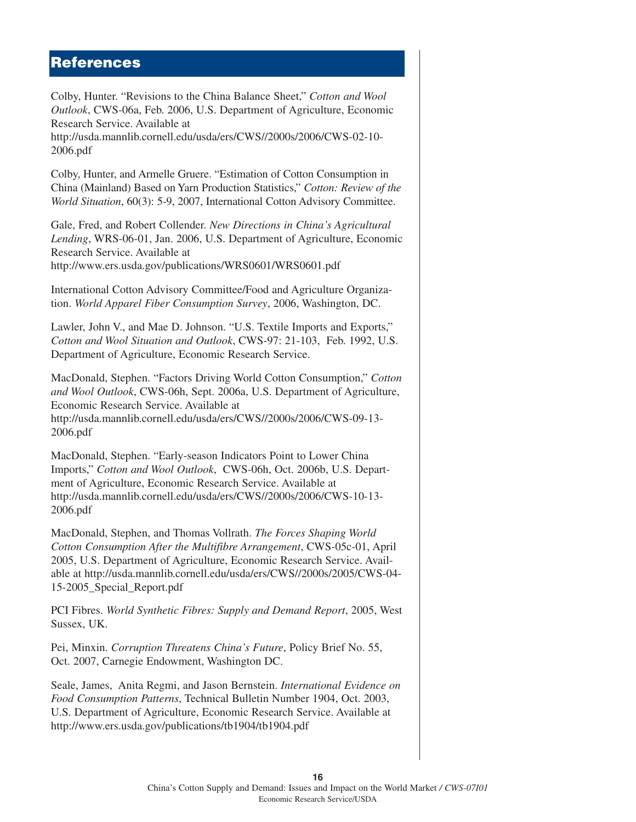### **References**

Colby, Hunter. "Revisions to the China Balance Sheet," *Cotton and Wool Outlook*, CWS-06a, Feb. 2006, U.S. Department of Agriculture, Economic Research Service. Available at

http://usda.mannlib.cornell.edu/usda/ers/CWS//2000s/2006/CWS-02-10- 2006.pdf

Colby, Hunter, and Armelle Gruere. "Estimation of Cotton Consumption in China (Mainland) Based on Yarn Production Statistics," *Cotton: Review of the World Situation*, 60(3): 5-9, 2007, International Cotton Advisory Committee.

Gale, Fred, and Robert Collender. *New Directions in China's Agricultural Lending*, WRS-06-01, Jan. 2006, U.S. Department of Agriculture, Economic Research Service. Available at

http://www.ers.usda.gov/publications/WRS0601/WRS0601.pdf

International Cotton Advisory Committee/Food and Agriculture Organization. *World Apparel Fiber Consumption Survey*, 2006, Washington, DC.

Lawler, John V., and Mae D. Johnson. "U.S. Textile Imports and Exports," *Cotton and Wool Situation and Outlook*, CWS-97: 21-103, Feb. 1992, U.S. Department of Agriculture, Economic Research Service.

MacDonald, Stephen. "Factors Driving World Cotton Consumption," *Cotton and Wool Outlook*, CWS-06h, Sept. 2006a, U.S. Department of Agriculture, Economic Research Service. Available at http://usda.mannlib.cornell.edu/usda/ers/CWS//2000s/2006/CWS-09-13- 2006.pdf

MacDonald, Stephen. "Early-season Indicators Point to Lower China Imports," *Cotton and Wool Outlook*, CWS-06h, Oct. 2006b, U.S. Department of Agriculture, Economic Research Service. Available at http://usda.mannlib.cornell.edu/usda/ers/CWS//2000s/2006/CWS-10-13- 2006.pdf

MacDonald, Stephen, and Thomas Vollrath. *The Forces Shaping World Cotton Consumption After the Multifibre Arrangement*, CWS-05c-01, April 2005, U.S. Department of Agriculture, Economic Research Service. Available at http://usda.mannlib.cornell.edu/usda/ers/CWS//2000s/2005/CWS-04- 15-2005\_Special\_Report.pdf

PCI Fibres. *World Synthetic Fibres: Supply and Demand Report*, 2005, West Sussex, UK.

Pei, Minxin. *Corruption Threatens China's Future*, Policy Brief No. 55, Oct. 2007, Carnegie Endowment, Washington DC.

Seale, James, Anita Regmi, and Jason Bernstein. *International Evidence on Food Consumption Patterns*, Technical Bulletin Number 1904, Oct. 2003, U.S. Department of Agriculture, Economic Research Service. Available at http://www.ers.usda.gov/publications/tb1904/tb1904.pdf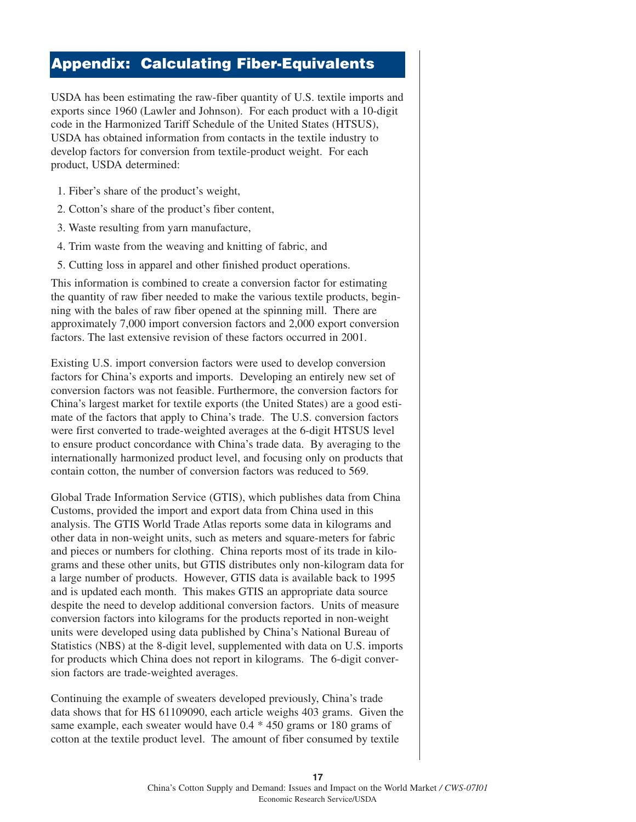# **Appendix: Calculating Fiber-Equivalents**

USDA has been estimating the raw-fiber quantity of U.S. textile imports and exports since 1960 (Lawler and Johnson). For each product with a 10-digit code in the Harmonized Tariff Schedule of the United States (HTSUS), USDA has obtained information from contacts in the textile industry to develop factors for conversion from textile-product weight. For each product, USDA determined:

- 1. Fiber's share of the product's weight,
- 2. Cotton's share of the product's fiber content,
- 3. Waste resulting from yarn manufacture,
- 4. Trim waste from the weaving and knitting of fabric, and
- 5. Cutting loss in apparel and other finished product operations.

This information is combined to create a conversion factor for estimating the quantity of raw fiber needed to make the various textile products, beginning with the bales of raw fiber opened at the spinning mill. There are approximately 7,000 import conversion factors and 2,000 export conversion factors. The last extensive revision of these factors occurred in 2001.

Existing U.S. import conversion factors were used to develop conversion factors for China's exports and imports. Developing an entirely new set of conversion factors was not feasible. Furthermore, the conversion factors for China's largest market for textile exports (the United States) are a good estimate of the factors that apply to China's trade. The U.S. conversion factors were first converted to trade-weighted averages at the 6-digit HTSUS level to ensure product concordance with China's trade data. By averaging to the internationally harmonized product level, and focusing only on products that contain cotton, the number of conversion factors was reduced to 569.

Global Trade Information Service (GTIS), which publishes data from China Customs, provided the import and export data from China used in this analysis. The GTIS World Trade Atlas reports some data in kilograms and other data in non-weight units, such as meters and square-meters for fabric and pieces or numbers for clothing. China reports most of its trade in kilograms and these other units, but GTIS distributes only non-kilogram data for a large number of products. However, GTIS data is available back to 1995 and is updated each month. This makes GTIS an appropriate data source despite the need to develop additional conversion factors. Units of measure conversion factors into kilograms for the products reported in non-weight units were developed using data published by China's National Bureau of Statistics (NBS) at the 8-digit level, supplemented with data on U.S. imports for products which China does not report in kilograms. The 6-digit conversion factors are trade-weighted averages.

Continuing the example of sweaters developed previously, China's trade data shows that for HS 61109090, each article weighs 403 grams. Given the same example, each sweater would have 0.4 \* 450 grams or 180 grams of cotton at the textile product level. The amount of fiber consumed by textile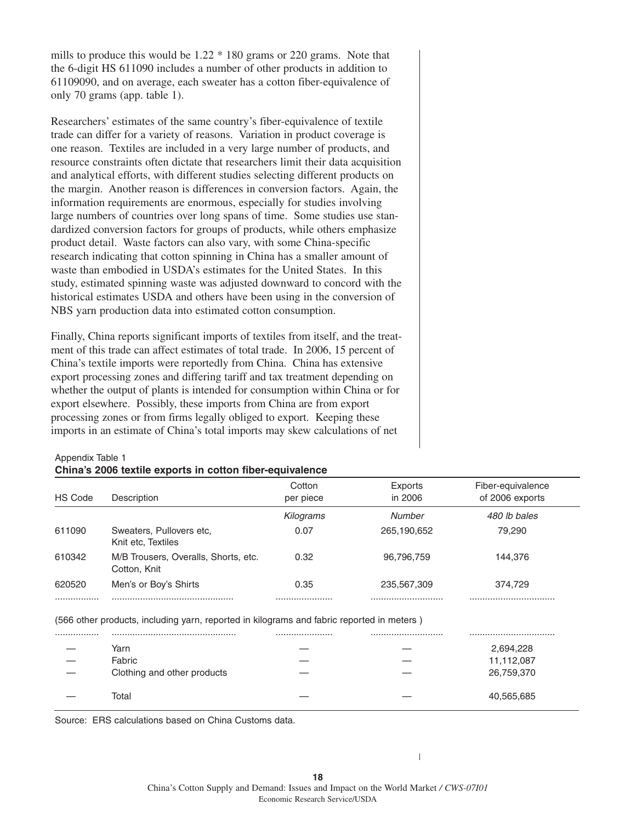mills to produce this would be 1.22 \* 180 grams or 220 grams. Note that the 6-digit HS 611090 includes a number of other products in addition to 61109090, and on average, each sweater has a cotton fiber-equivalence of only 70 grams (app. table 1).

Researchers' estimates of the same country's fiber-equivalence of textile trade can differ for a variety of reasons. Variation in product coverage is one reason. Textiles are included in a very large number of products, and resource constraints often dictate that researchers limit their data acquisition and analytical efforts, with different studies selecting different products on the margin. Another reason is differences in conversion factors. Again, the information requirements are enormous, especially for studies involving large numbers of countries over long spans of time. Some studies use standardized conversion factors for groups of products, while others emphasize product detail. Waste factors can also vary, with some China-specific research indicating that cotton spinning in China has a smaller amount of waste than embodied in USDA's estimates for the United States. In this study, estimated spinning waste was adjusted downward to concord with the historical estimates USDA and others have been using in the conversion of NBS yarn production data into estimated cotton consumption.

Finally, China reports significant imports of textiles from itself, and the treatment of this trade can affect estimates of total trade. In 2006, 15 percent of China's textile imports were reportedly from China. China has extensive export processing zones and differing tariff and tax treatment depending on whether the output of plants is intended for consumption within China or for export elsewhere. Possibly, these imports from China are from export processing zones or from firms legally obliged to export. Keeping these imports in an estimate of China's total imports may skew calculations of net

#### Appendix Table 1

#### **China's 2006 textile exports in cotton fiber-equivalence**

| HS Code | Description                                          | Cotton<br>per piece | Exports<br>in 2006 | Fiber-equivalence<br>of 2006 exports |
|---------|------------------------------------------------------|---------------------|--------------------|--------------------------------------|
|         |                                                      | Kilograms           | Number             | 480 lb bales                         |
| 611090  | Sweaters, Pullovers etc.<br>Knit etc, Textiles       | 0.07                | 265,190,652        | 79.290                               |
| 610342  | M/B Trousers, Overalls, Shorts, etc.<br>Cotton, Knit | 0.32                | 96,796,759         | 144.376                              |
| 620520  | Men's or Boy's Shirts                                | 0.35                | 235,567,309        | 374.729                              |
|         |                                                      |                     |                    |                                      |

(566 other products, including yarn, reported in kilograms and fabric reported in meters )

|                             | <br> |            |
|-----------------------------|------|------------|
| Yarn                        |      | 2,694,228  |
| Fabric                      |      | 11,112,087 |
| Clothing and other products |      | 26,759,370 |
|                             |      |            |
| Total                       |      | 40,565,685 |

Source: ERS calculations based on China Customs data.